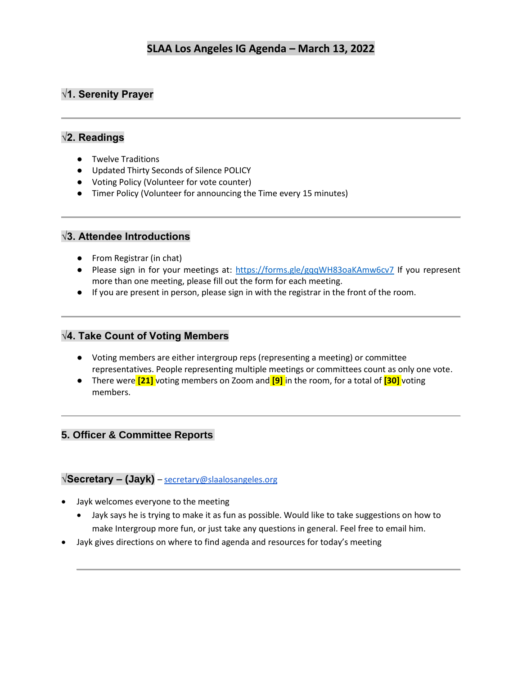## **√1. Serenity Prayer**

# **√2. Readings**

- Twelve Traditions
- Updated Thirty Seconds of Silence POLICY
- Voting Policy (Volunteer for vote counter)
- Timer Policy (Volunteer for announcing the Time every 15 minutes)

### **√3. Attendee Introductions**

- From Registrar (in chat)
- Please sign in for your meetings at:<https://forms.gle/gqqWH83oaKAmw6cv7> If you represent more than one meeting, please fill out the form for each meeting.
- If you are present in person, please sign in with the registrar in the front of the room.

#### **√4. Take Count of Voting Members**

- Voting members are either intergroup reps (representing a meeting) or committee representatives. People representing multiple meetings or committees count as only one vote.
- There were **[21]** voting members on Zoom and **[9]** in the room, for a total of **[30]** voting members.

### **5. Officer & Committee Reports**

### **√Secretary – (Jayk)** – [secretary@slaalosangeles.org](mailto:secretary@slaalosangeles.org)

- Jayk welcomes everyone to the meeting
	- Jayk says he is trying to make it as fun as possible. Would like to take suggestions on how to make Intergroup more fun, or just take any questions in general. Feel free to email him.
- Jayk gives directions on where to find agenda and resources for today's meeting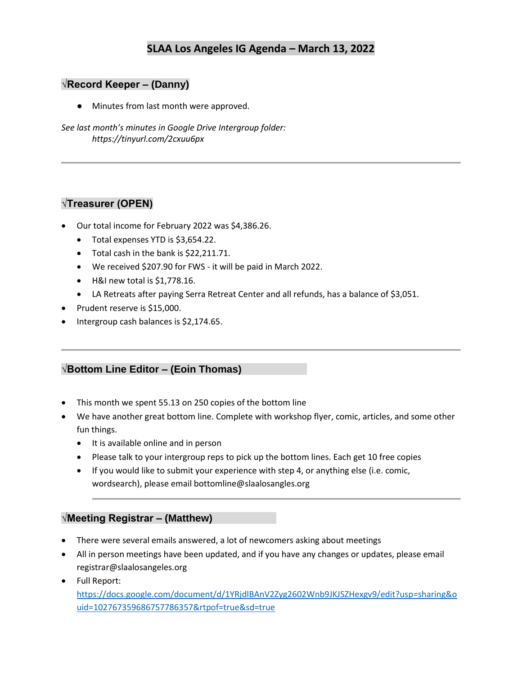### **√Record Keeper – (Danny)**

● Minutes from last month were approved.

*See last month's minutes in Google Drive Intergroup folder: https://tinyurl.com/2cxuu6px* 

### **√Treasurer (OPEN)**

- Our total income for February 2022 was \$4,386.26.
	- Total expenses YTD is \$3,654.22.
	- Total cash in the bank is \$22,211.71.
	- We received \$207.90 for FWS it will be paid in March 2022.
	- H&I new total is \$1,778.16.
	- LA Retreats after paying Serra Retreat Center and all refunds, has a balance of \$3,051.
- Prudent reserve is \$15,000.
- Intergroup cash balances is \$2,174.65.

### **√Bottom Line Editor – (Eoin Thomas)**

- This month we spent 55.13 on 250 copies of the bottom line
- We have another great bottom line. Complete with workshop flyer, comic, articles, and some other fun things.
	- It is available online and in person
	- Please talk to your intergroup reps to pick up the bottom lines. Each get 10 free copies
	- If you would like to submit your experience with step 4, or anything else (i.e. comic, wordsearch), please email bottomline@slaalosangles.org

#### **√Meeting Registrar – (Matthew)**

- There were several emails answered, a lot of newcomers asking about meetings
- All in person meetings have been updated, and if you have any changes or updates, please email registrar@slaalosangeles.org
- Full Report: [https://docs.google.com/document/d/1YRjdlBAnV2Zyg2602Wnb9JKJSZHexgv9/edit?usp=sharing&o](https://docs.google.com/document/d/1YRjdlBAnV2Zyg2602Wnb9JKJSZHexgv9/edit?usp=sharing&ouid=102767359686757786357&rtpof=true&sd=true) [uid=102767359686757786357&rtpof=true&sd=true](https://docs.google.com/document/d/1YRjdlBAnV2Zyg2602Wnb9JKJSZHexgv9/edit?usp=sharing&ouid=102767359686757786357&rtpof=true&sd=true)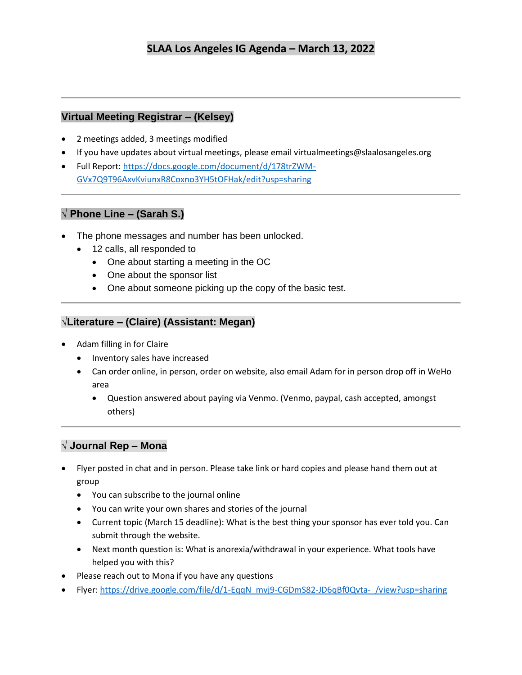## **Virtual Meeting Registrar – (Kelsey)**

- 2 meetings added, 3 meetings modified
- If you have updates about virtual meetings, please email virtualmeetings@slaalosangeles.org
- Full Report: [https://docs.google.com/document/d/178trZWM-](https://docs.google.com/document/d/178trZWM-GVx7Q9T96AxvKviunxR8Coxno3YH5tOFHak/edit?usp=sharing)[GVx7Q9T96AxvKviunxR8Coxno3YH5tOFHak/edit?usp=sharing](https://docs.google.com/document/d/178trZWM-GVx7Q9T96AxvKviunxR8Coxno3YH5tOFHak/edit?usp=sharing)

## **√ Phone Line – (Sarah S.)**

- The phone messages and number has been unlocked.
	- 12 calls, all responded to
		- One about starting a meeting in the OC
		- One about the sponsor list
		- One about someone picking up the copy of the basic test.

## **√Literature – (Claire) (Assistant: Megan)**

- Adam filling in for Claire
	- Inventory sales have increased
	- Can order online, in person, order on website, also email Adam for in person drop off in WeHo area
		- Question answered about paying via Venmo. (Venmo, paypal, cash accepted, amongst others)

## **√ Journal Rep – Mona**

- Flyer posted in chat and in person. Please take link or hard copies and please hand them out at group
	- You can subscribe to the journal online
	- You can write your own shares and stories of the journal
	- Current topic (March 15 deadline): What is the best thing your sponsor has ever told you. Can submit through the website.
	- Next month question is: What is anorexia/withdrawal in your experience. What tools have helped you with this?
- Please reach out to Mona if you have any questions
- Flyer: [https://drive.google.com/file/d/1-EqqN\\_mvj9-CGDmS82-JD6qBf0Qvta-\\_/view?usp=sharing](https://drive.google.com/file/d/1-EqqN_mvj9-CGDmS82-JD6qBf0Qvta-_/view?usp=sharing)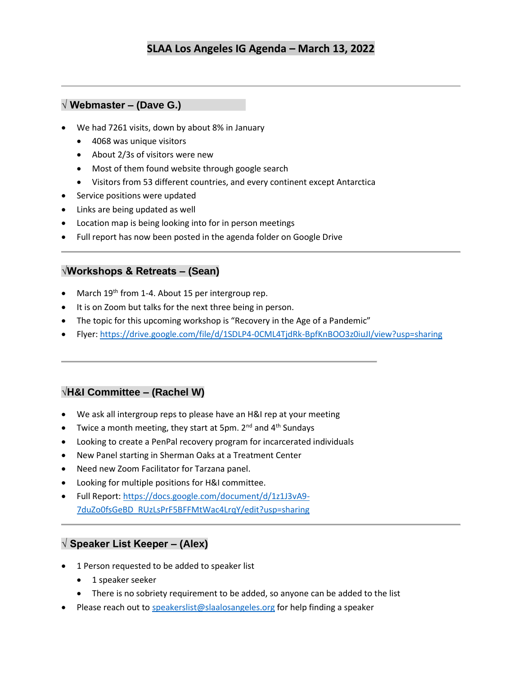## **√ Webmaster – (Dave G.)**

- We had 7261 visits, down by about 8% in January
	- 4068 was unique visitors
	- About 2/3s of visitors were new
	- Most of them found website through google search
	- Visitors from 53 different countries, and every continent except Antarctica
- Service positions were updated
- Links are being updated as well
- Location map is being looking into for in person meetings
- Full report has now been posted in the agenda folder on Google Drive

#### **√Workshops & Retreats – (Sean)**

- March 19<sup>th</sup> from 1-4. About 15 per intergroup rep.
- It is on Zoom but talks for the next three being in person.
- The topic for this upcoming workshop is "Recovery in the Age of a Pandemic"
- Flyer:<https://drive.google.com/file/d/1SDLP4-0CML4TjdRk-BpfKnBOO3z0iuJI/view?usp=sharing>

#### **√H&I Committee – (Rachel W)**

- We ask all intergroup reps to please have an H&I rep at your meeting
- Twice a month meeting, they start at 5pm.  $2^{nd}$  and  $4^{th}$  Sundays
- Looking to create a PenPal recovery program for incarcerated individuals
- New Panel starting in Sherman Oaks at a Treatment Center
- Need new Zoom Facilitator for Tarzana panel.
- Looking for multiple positions for H&I committee.
- Full Report: [https://docs.google.com/document/d/1z1J3vA9-](https://docs.google.com/document/d/1z1J3vA9-7duZo0fsGeBD_RUzLsPrF5BFFMtWac4LrqY/edit?usp=sharing) [7duZo0fsGeBD\\_RUzLsPrF5BFFMtWac4LrqY/edit?usp=sharing](https://docs.google.com/document/d/1z1J3vA9-7duZo0fsGeBD_RUzLsPrF5BFFMtWac4LrqY/edit?usp=sharing)

### **√ Speaker List Keeper – (Alex)**

- 1 Person requested to be added to speaker list
	- 1 speaker seeker
	- There is no sobriety requirement to be added, so anyone can be added to the list
- Please reach out to [speakerslist@slaalosangeles.org](mailto:speakerslist@slaalosangeles.org) for help finding a speaker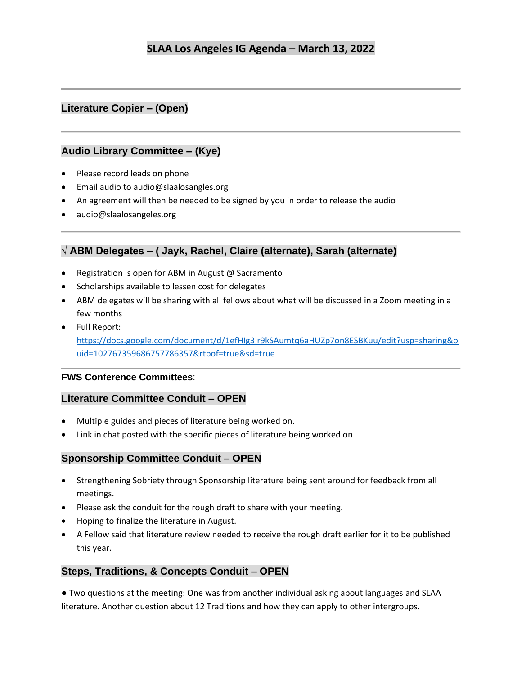## **Literature Copier – (Open)**

#### **Audio Library Committee – (Kye)**

- Please record leads on phone
- Email audio to audio@slaalosangles.org
- An agreement will then be needed to be signed by you in order to release the audio
- audio@slaalosangeles.org

### **√ ABM Delegates – ( Jayk, Rachel, Claire (alternate), Sarah (alternate)**

- Registration is open for ABM in August @ Sacramento
- Scholarships available to lessen cost for delegates
- ABM delegates will be sharing with all fellows about what will be discussed in a Zoom meeting in a few months
- Full Report: [https://docs.google.com/document/d/1efHIg3jr9kSAumtq6aHUZp7on8ESBKuu/edit?usp=sharing&o](https://docs.google.com/document/d/1efHIg3jr9kSAumtq6aHUZp7on8ESBKuu/edit?usp=sharing&ouid=102767359686757786357&rtpof=true&sd=true) [uid=102767359686757786357&rtpof=true&sd=true](https://docs.google.com/document/d/1efHIg3jr9kSAumtq6aHUZp7on8ESBKuu/edit?usp=sharing&ouid=102767359686757786357&rtpof=true&sd=true)

#### **FWS Conference Committees**:

#### **Literature Committee Conduit – OPEN**

- Multiple guides and pieces of literature being worked on.
- Link in chat posted with the specific pieces of literature being worked on

#### **Sponsorship Committee Conduit – OPEN**

- Strengthening Sobriety through Sponsorship literature being sent around for feedback from all meetings.
- Please ask the conduit for the rough draft to share with your meeting.
- Hoping to finalize the literature in August.
- A Fellow said that literature review needed to receive the rough draft earlier for it to be published this year.

#### **Steps, Traditions, & Concepts Conduit – OPEN**

● Two questions at the meeting: One was from another individual asking about languages and SLAA literature. Another question about 12 Traditions and how they can apply to other intergroups.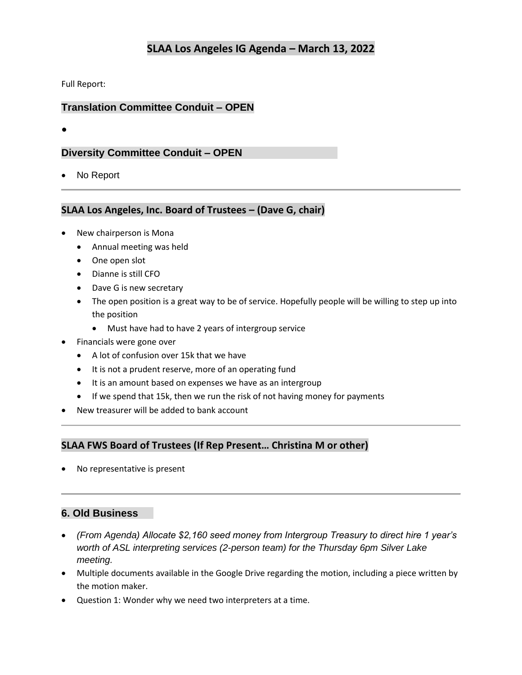Full Report:

### **Translation Committee Conduit – OPEN**

●

#### **Diversity Committee Conduit – OPEN**

• No Report

#### **SLAA Los Angeles, Inc. Board of Trustees – (Dave G, chair)**

- New chairperson is Mona
	- Annual meeting was held
	- One open slot
	- Dianne is still CFO
	- Dave G is new secretary
	- The open position is a great way to be of service. Hopefully people will be willing to step up into the position
		- Must have had to have 2 years of intergroup service
- Financials were gone over
	- A lot of confusion over 15k that we have
	- It is not a prudent reserve, more of an operating fund
	- It is an amount based on expenses we have as an intergroup
	- If we spend that 15k, then we run the risk of not having money for payments
- New treasurer will be added to bank account

### **SLAA FWS Board of Trustees (If Rep Present… Christina M or other)**

No representative is present

#### **6. Old Business**

- *(From Agenda) Allocate \$2,160 seed money from Intergroup Treasury to direct hire 1 year's worth of ASL interpreting services (2-person team) for the Thursday 6pm Silver Lake meeting.*
- Multiple documents available in the Google Drive regarding the motion, including a piece written by the motion maker.
- Question 1: Wonder why we need two interpreters at a time.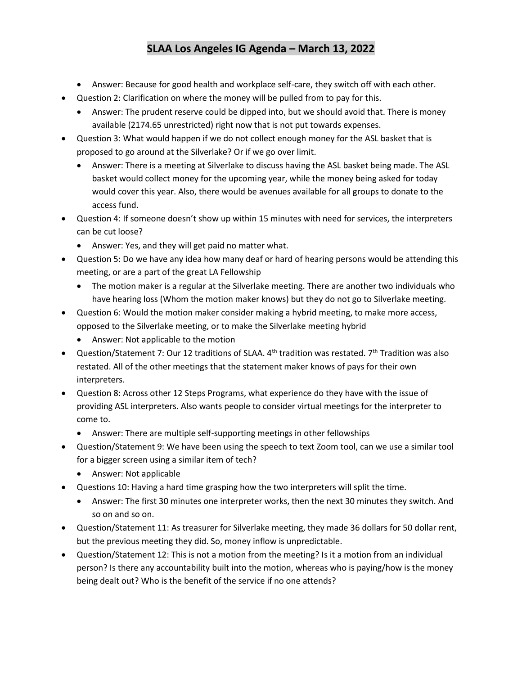- Answer: Because for good health and workplace self-care, they switch off with each other.
- Question 2: Clarification on where the money will be pulled from to pay for this.
	- Answer: The prudent reserve could be dipped into, but we should avoid that. There is money available (2174.65 unrestricted) right now that is not put towards expenses.
- Question 3: What would happen if we do not collect enough money for the ASL basket that is proposed to go around at the Silverlake? Or if we go over limit.
	- Answer: There is a meeting at Silverlake to discuss having the ASL basket being made. The ASL basket would collect money for the upcoming year, while the money being asked for today would cover this year. Also, there would be avenues available for all groups to donate to the access fund.
- Question 4: If someone doesn't show up within 15 minutes with need for services, the interpreters can be cut loose?
	- Answer: Yes, and they will get paid no matter what.
- Question 5: Do we have any idea how many deaf or hard of hearing persons would be attending this meeting, or are a part of the great LA Fellowship
	- The motion maker is a regular at the Silverlake meeting. There are another two individuals who have hearing loss (Whom the motion maker knows) but they do not go to Silverlake meeting.
- Question 6: Would the motion maker consider making a hybrid meeting, to make more access, opposed to the Silverlake meeting, or to make the Silverlake meeting hybrid
	- Answer: Not applicable to the motion
- Question/Statement 7: Our 12 traditions of SLAA.  $4<sup>th</sup>$  tradition was restated.  $7<sup>th</sup>$  Tradition was also restated. All of the other meetings that the statement maker knows of pays for their own interpreters.
- Question 8: Across other 12 Steps Programs, what experience do they have with the issue of providing ASL interpreters. Also wants people to consider virtual meetings for the interpreter to come to.
	- Answer: There are multiple self-supporting meetings in other fellowships
- Question/Statement 9: We have been using the speech to text Zoom tool, can we use a similar tool for a bigger screen using a similar item of tech?
	- Answer: Not applicable
- Questions 10: Having a hard time grasping how the two interpreters will split the time.
	- Answer: The first 30 minutes one interpreter works, then the next 30 minutes they switch. And so on and so on.
- Question/Statement 11: As treasurer for Silverlake meeting, they made 36 dollars for 50 dollar rent, but the previous meeting they did. So, money inflow is unpredictable.
- Question/Statement 12: This is not a motion from the meeting? Is it a motion from an individual person? Is there any accountability built into the motion, whereas who is paying/how is the money being dealt out? Who is the benefit of the service if no one attends?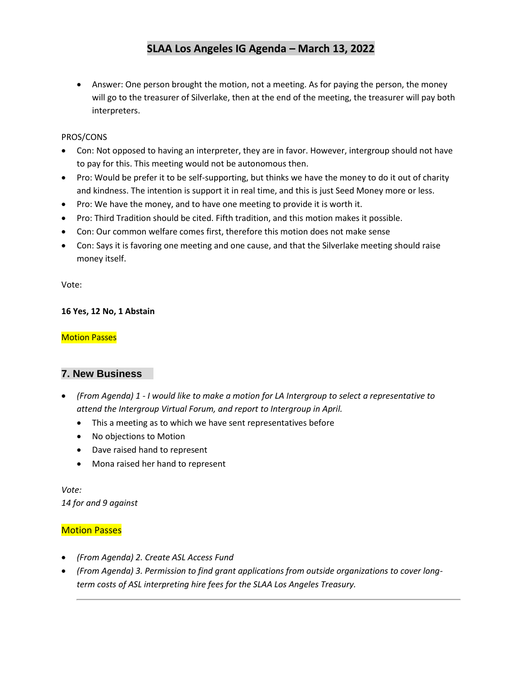• Answer: One person brought the motion, not a meeting. As for paying the person, the money will go to the treasurer of Silverlake, then at the end of the meeting, the treasurer will pay both interpreters.

#### PROS/CONS

- Con: Not opposed to having an interpreter, they are in favor. However, intergroup should not have to pay for this. This meeting would not be autonomous then.
- Pro: Would be prefer it to be self-supporting, but thinks we have the money to do it out of charity and kindness. The intention is support it in real time, and this is just Seed Money more or less.
- Pro: We have the money, and to have one meeting to provide it is worth it.
- Pro: Third Tradition should be cited. Fifth tradition, and this motion makes it possible.
- Con: Our common welfare comes first, therefore this motion does not make sense
- Con: Says it is favoring one meeting and one cause, and that the Silverlake meeting should raise money itself.

Vote:

#### **16 Yes, 12 No, 1 Abstain**

#### **Motion Passes**

#### **7. New Business**

- *(From Agenda) 1 - I would like to make a motion for LA Intergroup to select a representative to attend the Intergroup Virtual Forum, and report to Intergroup in April.*
	- This a meeting as to which we have sent representatives before
	- No objections to Motion
	- Dave raised hand to represent
	- Mona raised her hand to represent

*Vote: 14 for and 9 against*

#### Motion Passes

- *(From Agenda) 2. Create ASL Access Fund*
- *(From Agenda) 3. Permission to find grant applications from outside organizations to cover longterm costs of ASL interpreting hire fees for the SLAA Los Angeles Treasury.*